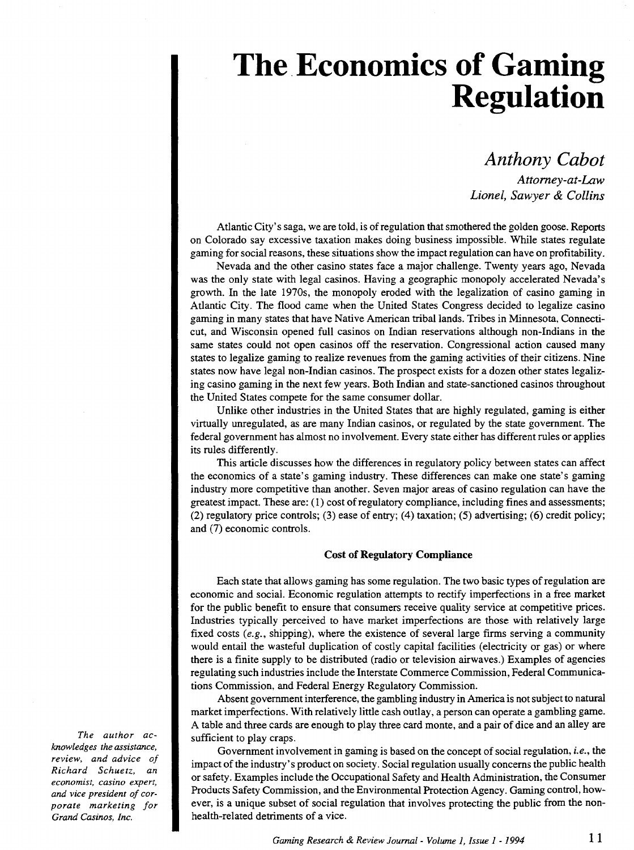# **The Economics of Gaming Regulation**

*Anthony Cabot Attorney-at-Law Lionel, Sawyer* & *Collins* 

Atlantic City's saga, we are told, is of regulation that smothered the golden goose. Reports on Colorado say excessive taxation makes doing business impossible. While states regulate gaming for social reasons, these situations show the impact regulation can have on profitability.

Nevada and the other casino states face a major challenge. Twenty years ago, Nevada was the only state with legal casinos. Having a geographic monopoly accelerated Nevada's growth. In the late 1970s, the monopoly eroded with the legalization of casino gaming in Atlantic City. The flood came when the United States Congress decided to legalize casino gaming in many states that have Native American tribal lands. Tribes in Minnesota, Connecticut, and Wisconsin opened full casinos on Indian reservations although non-Indians in the same states could not open casinos off the reservation. Congressional action caused many states to legalize gaming to realize revenues from the gaming activities of their citizens. Nine states now have legal non-Indian casinos. The prospect exists for a dozen other states legalizing casino gaming in the next few years. Both Indian and state-sanctioned casinos throughout the United States compete for the same consumer dollar.

Unlike other industries in the United States that are highly regulated, gaming is either virtually unregulated, as are many Indian casinos, or regulated by the state government. The federal government has almost no involvement. Every state either has different rules or applies its rules differently.

This article discusses how the differences in regulatory policy between states can affect the economics of a state's gaming industry. These differences can make one state's gaming industry more competitive than another. Seven major areas of casino regulation can have the greatest impact. These are: ( 1) cost of regulatory compliance, including fines and assessments; (2) regulatory price controls; (3) ease of entry; (4) taxation; (5) advertising; (6) credit policy; and (7) economic controls.

### **Cost of Regulatory Compliance**

Each state that allows gaming has some regulation. The two basic types of regulation are economic and social. Economic regulation attempts to rectify imperfections in a free market for the public benefit to ensure that consumers receive quality service at competitive prices. Industries typically perceived to have market imperfections are those with relatively large fixed costs  $(e.g.,$  shipping), where the existence of several large firms serving a community would entail the wasteful duplication of costly capital facilities (electricity or gas) or where there is a finite supply to be distributed (radio or television airwaves.) Examples of agencies regulating such industries include the Interstate Commerce Commission, Federal Communications Commission, and Federal Energy Regulatory Commission.

Absent government interference, the gambling industry in America is not subject to natural market imperfections. With relatively little cash outlay, a person can operate a gambling game. A table and three cards are enough to play three card monte, and a pair of dice and an alley are sufficient to play craps.

Government involvement in gaming is based on the concept of social regulation, *i.e.,* the impact of the industry's product on society. Social regulation usually concerns the public health or safety. Examples include the Occupational Safety and Health Administration, the Consumer Products Safety Commission, and the Environmental Protection Agency. Gaming control, however, is a unique subset of social regulation that involves protecting the public from the nonhealth-related detriments of a vice.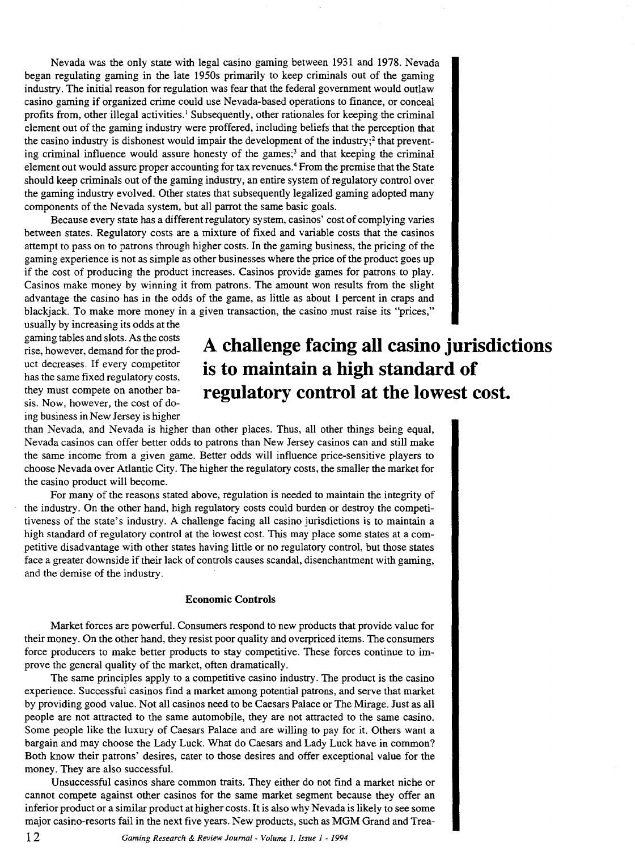Nevada was the only state with legal casino gaming between 1931 and 1978. Nevada began regulating gaming in the late 1950s primarily to keep criminals out of the gaming industry. The initial reason for regulation was fear that the federal government would outlaw casino gaming if organized crime could use Nevada-based operations to finance, or conceal profits from, other illegal activities.<sup>1</sup> Subsequently, other rationales for keeping the criminal element out of the gaming industry were proffered, including beliefs that the perception that the casino industry is dishonest would impair the development of the industry; $<sup>2</sup>$  that prevent-</sup> ing criminal influence would assure honesty of the games;<sup>3</sup> and that keeping the criminal element out would assure proper accounting for tax revenues.4 From the premise that the State should keep criminals out of the gaming industry, an entire system of regulatory control over the gaming industry evolved. Other states that subsequently legalized gaming adopted many components of the Nevada system, but all parrot the same basic goals.

Because every state has a different regulatory system, casinos' cost of complying varies between states. Regulatory costs are a mixture of fixed and variable costs that the casinos attempt to pass on to patrons through higher costs. In the gaming business, the pricing of the gaming experience is not as simple as other businesses where the price of the product goes up if the cost of producing the product increases. Casinos provide games for patrons to play. Casinos make money by winning it from patrons. The amount won results from the slight advantage the casino has in the odds of the game, as little as about 1 percent in craps and blackjack. To make more money in a given transaction, the casino must raise its "prices,"

usually by increasing its odds at the gaming tables and slots. As the costs rise, however, demand for the product decreases. If every competitor has the same fixed regulatory costs, they must compete on another basis. Now, however, the cost of doing business in New Jersey is higher

# **A challenge facing all casino jurisdictions is to maintain a high standard of regulatory control at the lowest cost.**

than Nevada, and Nevada is higher than other places. Thus, all other things being equal, Nevada casinos can offer better odds to patrons than New Jersey casinos can and still make the same income from a given game. Better odds will influence price-sensitive players to choose Nevada over Atlantic City. The higher the regulatory costs, the smaller the market for the casino product will become.

For many of the reasons stated above, regulation is needed to maintain the integrity of the industry. On the other hand, high regulatory costs could burden or destroy the competitiveness of the state's industry. A challenge facing all casino jurisdictions is to maintain a high standard of regulatory control at the lowest cost. This may place some states at a competitive disadvantage with other states having little or no regulatory control, but those states face a greater downside if their lack of controls causes scandal, disenchantment with gaming, and the demise of the industry.

#### **Economic Controls**

Market forces are powerful. Consumers respond to new products that provide value for their money. On the other hand, they resist poor quality and overpriced items. The consumers force producers to make better products to stay competitive. These forces continue to improve the general quality of the market, often dramatically.

The same principles apply to a competitive casino industry. The product is the casino experience. Successful casinos find a market among potential patrons, and serve that market by providing good value. Not all casinos need to be Caesars Palace or The Mirage. Just as all people are not attracted to the same automobile, they are not attracted to the same casino. Some people like the luxury of Caesars Palace and are willing to pay for it. Others want a bargain and may choose the Lady Luck. What do Caesars and Lady Luck have in common? Both know their patrons' desires, cater to those desires and offer exceptional value for the money. They are also successful.

Unsuccessful casinos share common traits. They either do not find a market niche or cannot compete against other casinos for the same market segment because they offer an inferior product or a similar product at higher costs. It is also why Nevada is likely to see some major casino-resorts fail in the next five years. New products, such as MGM Grand and Trea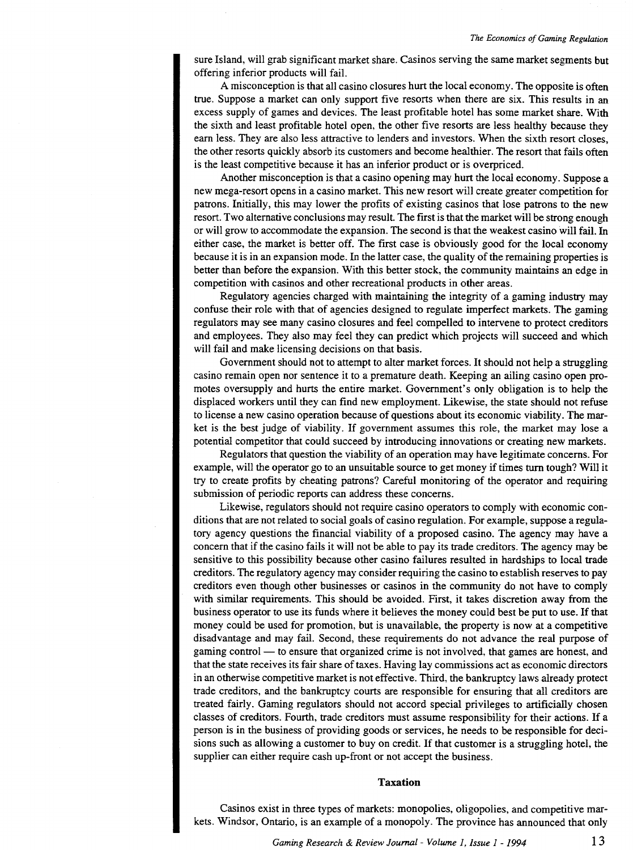sure Island, will grab significant market share. Casinos serving the same market segments but offering inferior products will fail.

A misconception is that all casino closures hurt the local economy. The opposite is often true. Suppose a market can only support five resorts when there are six. This results in an excess supply of games and devices. The least profitable hotel has some market share. With the sixth and least profitable hotel open, the other five resorts are less healthy because they earn less. They are also less attractive to lenders and investors. When the sixth resort closes, the other resorts quickly absorb its customers and become healthier. The resort that fails often is the least competitive because it has an inferior product or is overpriced.

Another misconception is that a casino opening may hurt the local economy. Suppose a new mega-resort opens in a casino market. This new resort will create greater competition for patrons. Initially, this may lower the profits of existing casinos that lose patrons to the new resort. Two alternative conclusions may result. The first is that the market will be strong enough or will grow to accommodate the expansion. The second is that the weakest casino will fail. In either case, the market is better off. The first case is obviously good for the local economy because it is in an expansion mode. In the latter case, the quality of the remaining properties is better than before the expansion. With this better stock, the community maintains an edge in competition with casinos and other recreational products in other areas.

Regulatory agencies charged with maintaining the integrity of a gaming industry may confuse their role with that of agencies designed to regulate imperfect markets. The gaming regulators may see many casino closures and feel compelled to intervene to protect creditors and employees. They also may feel they can predict which projects will succeed and which will fail and make licensing decisions on that basis.

Government should not to attempt to alter market forces. It should not help a struggling casino remain open nor sentence it to a premature death. Keeping an ailing casino open promotes oversupply and hurts the entire market. Government's only obligation is to help the displaced workers until they can find new employment. Likewise, the state should not refuse to license a new casino operation because of questions about its economic viability. The market is the best judge of viability. If government assumes this role, the market may lose a potential competitor that could succeed by introducing innovations or creating new markets.

Regulators that question the viability of an operation may have legitimate concerns. For example, will the operator go to an unsuitable source to get money if times tum tough? Will it try to create profits by cheating patrons? Careful monitoring of the operator and requiring submission of periodic reports can address these concerns.

Likewise, regulators should not require casino operators to comply with economic conditions that are not related to social goals of casino regulation. For example, suppose a regulatory agency questions the financial viability of a proposed casino. The agency may have a concern that if the casino fails it will not be able to pay its trade creditors. The agency may be sensitive to this possibility because other casino failures resulted in hardships to local trade creditors. The regulatory agency may consider requiring the casino to establish reserves to pay creditors even though other businesses or casinos in the community do not have to comply with similar requirements. This should be avoided. First, it takes discretion away from the business operator to use its funds where it believes the money could best be put to use. If that money could be used for promotion, but is unavailable, the property is now at a competitive disadvantage and may fail. Second, these requirements do not advance the real purpose of gaming control- to ensure that organized crime is not involved, that games are honest, and that the state receives its fair share of taxes. Having lay commissions act as economic directors in an otherwise competitive market is not effective. Third, the bankruptcy laws already protect trade creditors, and the bankruptcy courts are responsible for ensuring that all creditors are treated fairly. Gaming regulators should not accord special privileges to artificially chosen classes of creditors. Fourth, trade creditors must assume responsibility for their actions. If a person is in the business of providing goods or services, he needs to be responsible for decisions such as allowing a customer to buy on credit. If that customer is a struggling hotel, the supplier can either require cash up-front or not accept the business.

#### **Taxation**

Casinos exist in three types of markets: monopolies, oligopolies, and competitive markets. Windsor, Ontario, is an example of a monopoly. The province has announced that only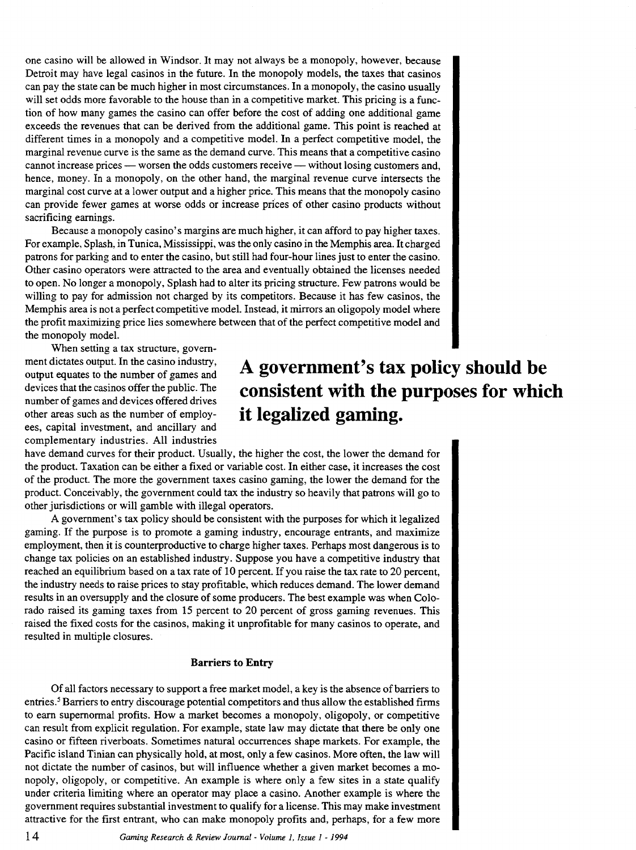one casino will be allowed in Windsor. It may not always be a monopoly, however, because Detroit may have legal casinos in the future. In the monopoly models, the taxes that casinos can pay the state can be much higher in most circumstances. In a monopoly, the casino usually will set odds more favorable to the house than in a competitive market. This pricing is a function of how many games the casino can offer before the cost of adding one additional game exceeds the revenues that can be derived from the additional game. This point is reached at different times in a monopoly and a competitive model. In a perfect competitive model, the marginal revenue curve is the same as the demand curve. This means that a competitive casino cannot increase prices — worsen the odds customers receive — without losing customers and, hence, money. In a monopoly, on the other hand, the marginal revenue curve intersects the marginal cost curve at a lower output and a higher price. This means that the monopoly casino can provide fewer games at worse odds or increase prices of other casino products without sacrificing earnings.

Because a monopoly casino's margins are much higher, it can afford to pay higher taxes. For example, Splash, in Tunica, Mississippi, was the only casino in the Memphis area. It charged patrons for parking and to enter the casino, but still had four-hour lines just to enter the casino. Other casino operators were attracted to the area and eventually obtained the licenses needed to open. No longer a monopoly, Splash had to alter its pricing structure. Few patrons would be willing to pay for admission not charged by its competitors. Because it has few casinos, the Memphis area is not a perfect competitive model. Instead, it mirrors an oligopoly model where the profit maximizing price lies somewhere between that of the perfect competitive model and the monopoly model.

When setting a tax structure, government dictates output. In the casino industry, output equates to the number of games and devices that the casinos offer the public. The number of games and devices offered drives other areas such as the number of employees, capital investment, and ancillary and complementary industries. All industries

# **A government's tax policy should be consistent with the purposes for which it legalized gaming.**

have demand curves for their product. Usually, the higher the cost, the lower the demand for the product. Taxation can be either a fixed or variable cost. In either case, it increases the cost of the product. The more the government taxes casino gaming, the lower the demand for the product. Conceivably, the government could tax the industry so heavily that patrons will go to other jurisdictions or will gamble with illegal operators.

A government's tax policy should be consistent with the purposes for which it legalized gaming. If the purpose is to promote a gaming industry, encourage entrants, and maximize employment, then it is counterproductive to charge higher taxes. Perhaps most dangerous is to change tax policies on an established industry. Suppose you have a competitive industry that reached an equilibrium based on a tax rate of 10 percent. If you raise the tax rate to 20 percent, the industry needs to raise prices to stay profitable, which reduces demand. The lower demand results in an oversupply and the closure of some producers. The best example was when Colorado raised its gaming taxes from 15 percent to 20 percent of gross gaming revenues. This raised the fixed costs for the casinos, making it unprofitable for many casinos to operate, and resulted in multiple closures.

### **Barriers to Entry**

Of all factors necessary to support a free market model, a key is the absence of barriers to entries.<sup>5</sup> Barriers to entry discourage potential competitors and thus allow the established firms to earn supernormal profits. How a market becomes a monopoly, oligopoly, or competitive can result from explicit regulation. For example, state law may dictate that there be only one casino or fifteen riverboats. Sometimes natural occurrences shape markets. For example, the Pacific island Tinian can physically hold, at most, only a few casinos. More often, the law will not dictate the number of casinos, but will influence whether a given market becomes a monopoly, oligopoly, or competitive. An example is where only a few sites in a state qualify under criteria limiting where an operator may place a casino. Another example is where the government requires substantial investment to qualify for a license. This may make investment attractive for the first entrant, who can make monopoly profits and, perhaps, for a few more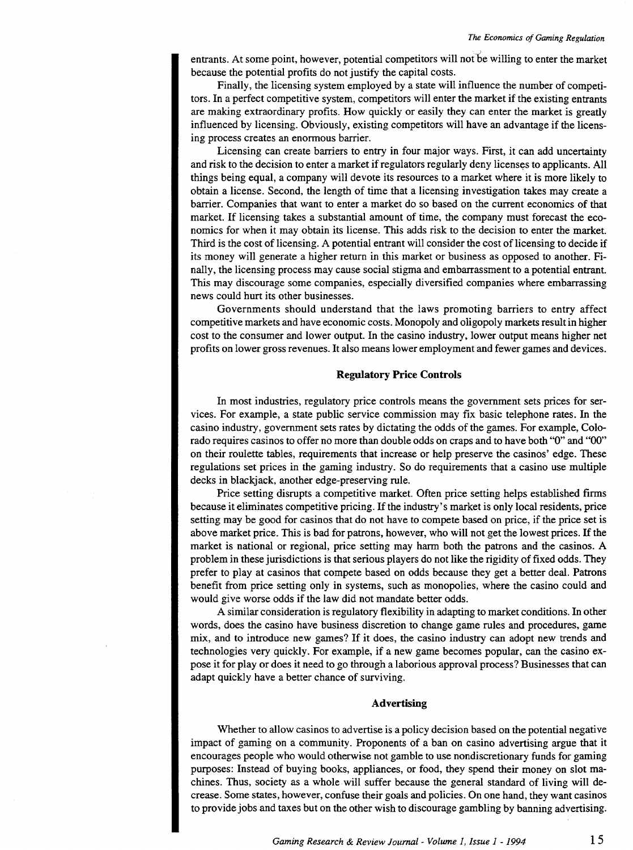entrants. At some point, however, potential competitors will not be willing to enter the market because the potential profits do not justify the capital costs.

Finally, the licensing system employed by a state will influence the number of competitors. In a perfect competitive system, competitors will enter the market if the existing entrants are making extraordinary profits. How quickly or easily they can enter the market is greatly influenced by licensing. Obviously, existing competitors will have an advantage if the licensing process creates an enormous barrier.

Licensing can create barriers to entry in four major ways. First, it can add uncertainty and risk to the decision to enter a market if regulators regularly deny licenses to applicants. All things being equal, a company will devote its resources to a market where it is more likely to obtain a license. Second, the length of time that a licensing investigation takes may create a barrier. Companies that want to enter a market do so based on the current economics of that market. If licensing takes a substantial amount of time, the company must forecast the economics for when it may obtain its license. This adds risk to the decision to enter the market. Third is the cost of licensing. A potential entrant will consider the cost of licensing to decide if its money will generate a higher return in this market or business as opposed to another. Finally, the licensing process may cause social stigma and embarrassment to a potential entrant. This may discourage some companies, especially diversified companies where embarrassing news could hurt its other businesses.

Governments should understand that the laws promoting barriers to entry affect competitive markets and have economic costs. Monopoly and oligopoly markets result in higher cost to the consumer and lower output. In the casino industry, lower output means higher net profits on lower gross revenues. It also means lower employment and fewer games and devices.

## **Regulatory Price Controls**

In most industries, regulatory price controls means the government sets prices for services. For example, a state public service commission may fix basic telephone rates. In the casino industry, government sets rates by dictating the odds of the games. For example, Colorado requires casinos to offer no more than double odds on craps and to have both "0" and "00" on their roulette tables, requirements that increase or help preserve the casinos' edge. These regulations set prices in the gaming industry. So do requirements that a casino use multiple decks in blackjack, another edge-preserving rule.

Price setting disrupts a competitive market. Often price setting helps established firms because it eliminates competitive pricing. If the industry's market is only local residents, price setting may be good for casinos that do not have to compete based on price, if the price set is above market price. This is bad for patrons, however, who will not get the lowest prices. If the market is national or regional, price setting may harm both the patrons and the casinos. A problem in these jurisdictions is that serious players do not like the rigidity of fixed odds. They prefer to play at casinos that compete based on odds because they get a better deal. Patrons benefit from price setting only in systems, such as monopolies, where the casino could and would give worse odds if the law did not mandate better odds.

A similar consideration is regulatory flexibility in adapting to market conditions. In other words, does the casino have business discretion to change game rules and procedures, game mix, and to introduce new games? If it does, the casino industry can adopt new trends and technologies very quickly. For example, if a new game becomes popular, can the casino expose it for play or does it need to go through a laborious approval process? Businesses that can adapt quickly have a better chance of surviving.

### **Advertising**

Whether to allow casinos to advertise is a policy decision based on the potential negative impact of gaming on a community. Proponents of a ban on casino advertising argue that it encourages people who would otherwise not gamble to use nondiscretionary funds for gaming purposes: Instead of buying books, appliances, or food, they spend their money on slot machines. Thus, society as a whole will suffer because the general standard of living will decrease. Some states, however, confuse their goals and policies. On one hand, they want casinos to provide jobs and taxes but on the other wish to discourage gambling by banning advertising.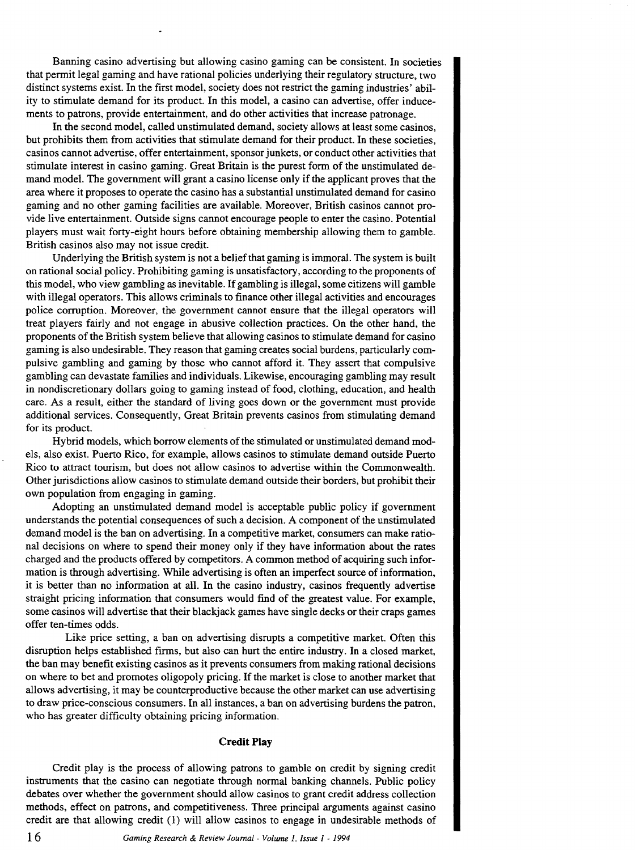Banning casino advertising but allowing casino gaming can be consistent. In societies that permit legal gaming and have rational policies underlying their regulatory structure, two distinct systems exist. In the first model, society does not restrict the gaming industries' ability to stimulate demand for its product. In this model, a casino can advertise, offer inducements to patrons, provide entertainment, and do other activities that increase patronage.

In the second model, called unstimulated demand, society allows at least some casinos, but prohibits them from activities that stimulate demand for their product. In these societies, casinos cannot advertise, offer entertainment, sponsor junkets, or conduct other activities that stimulate interest in casino gaming. Great Britain is the purest form of the unstimulated demand model. The government will grant a casino license only if the applicant proves that the area where it proposes to operate the casino has a substantial unstimulated demand for casino gaming and no other gaming facilities are available. Moreover, British casinos cannot provide live entertainment. Outside signs cannot encourage people to enter the casino. Potential players must wait forty-eight hours before obtaining membership allowing them to gamble. British casinos also may not issue credit.

Underlying the British system is not a belief that gaming is immoral. The system is built on rational social policy. Prohibiting gaming is unsatisfactory, according to the proponents of this model, who view gambling as inevitable. If gambling is illegal, some citizens will gamble with illegal operators. This allows criminals to finance other illegal activities and encourages police corruption. Moreover, the government cannot ensure that the illegal operators will treat players fairly and not engage in abusive collection practices. On the other hand, the proponents of the British system believe that allowing casinos to stimulate demand for casino gaming is also undesirable. They reason that gaming creates social burdens, particularly compulsive gambling and gaming by those who cannot afford it. They assert that compulsive gambling can devastate families and individuals. Likewise, encouraging gambling may result in nondiscretionary dollars going to gaming instead of food, clothing, education, and health care. As a result, either the standard of living goes down or the government must provide additional services. Consequently, Great Britain prevents casinos from stimulating demand for its product.

Hybrid models, which borrow elements of the stimulated or unstimulated demand models, also exist. Puerto Rico, for example, allows casinos to stimulate demand outside Puerto Rico to attract tourism, but does not allow casinos to advertise within the Commonwealth. Other jurisdictions allow casinos to stimulate demand outside their borders, but prohibit their own population from engaging in gaming.

Adopting an unstimulated demand model is acceptable public policy if government understands the potential consequences of such a decision. A component of the unstimulated demand model is the ban on advertising. In a competitive market, consumers can make rational decisions on where to spend their money only if they have information about the rates charged and the products offered by competitors. A common method of acquiring such information is through advertising. While advertising is often an imperfect source of information, it is better than no information at all. In the casino industry, casinos frequently advertise straight pricing information that consumers would find of the greatest value. For example, some casinos will advertise that their blackjack games have single decks or their craps games offer ten-times odds.

Like price setting, a ban on advertising disrupts a competitive market. Often this disruption helps established firms, but also can hurt the entire industry. In a closed market, the ban may benefit existing casinos as it prevents consumers from making rational decisions on where to bet and promotes oligopoly pricing. If the market is close to another market that allows advertising, it may be counterproductive because the other market can use advertising to draw price-conscious consumers. In all instances, a ban on advertising burdens the patron, who has greater difficulty obtaining pricing information.

#### **Credit Play**

Credit play is the process of allowing patrons to gamble on credit by signing credit instruments that the casino can negotiate through normal banking channels. Public policy debates over whether the government should allow casinos to grant credit address collection methods, effect on patrons, and competitiveness. Three principal arguments against casino credit are that allowing credit (1) will allow casinos to engage in undesirable methods of

16 *Gaming Research* & *Review Journal· Volume 1, Issue I* - *<sup>1994</sup>*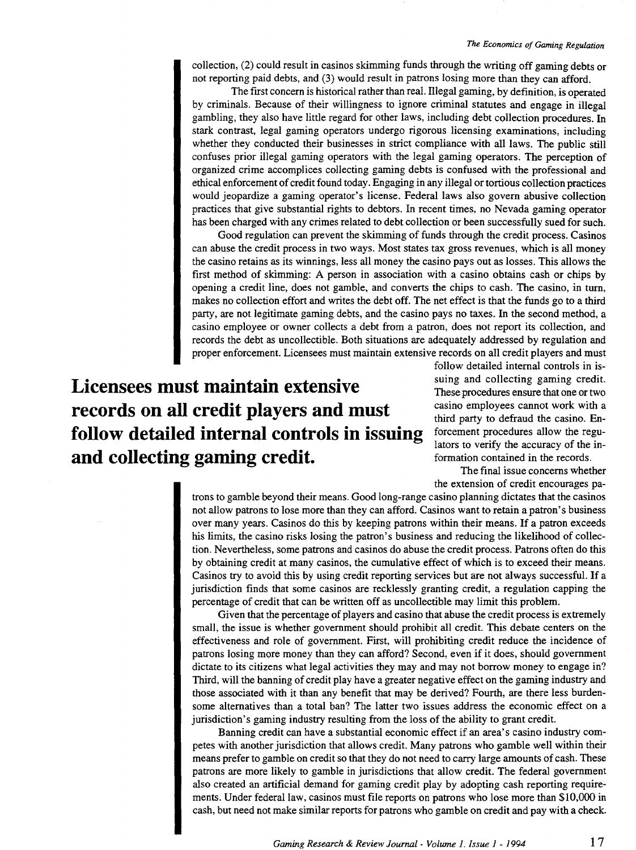#### *The Economics of Gaming Regulation*

collection, (2) could result in casinos skimming funds through the writing off gaming debts or not reporting paid debts, and (3) would result in patrons losing more than they can afford.

The first concern is historical rather than real. Illegal gaming, by definition, is operated by criminals. Because of their willingness to ignore criminal statutes and engage in illegal gambling, they also have little regard for other laws, including debt collection procedures. In stark contrast, legal gaming operators undergo rigorous licensing examinations, including whether they conducted their businesses in strict compliance with all laws. The public still confuses prior illegal gaming operators with the legal gaming operators. The perception of organized crime accomplices collecting gaming debts is confused with the professional and ethical enforcement of credit found today. Engaging in any illegal or tortious collection practices would jeopardize a gaming operator's license. Federal laws also govern abusive collection practices that give substantial rights to debtors. In recent times, no Nevada gaming operator has been charged with any crimes related to debt collection or been successfully sued for such.

Good regulation can prevent the skimming of funds through the credit process. Casinos can abuse the credit process in two ways. Most states tax gross revenues, which is all money the casino retains as its winnings, less all money the casino pays out as losses. This allows the first method of skimming: A person in association with a casino obtains cash or chips by opening a credit line, does not gamble, and converts the chips to cash. The casino, in turn, makes no collection effort and writes the debt off. The net effect is that the funds go to a third party, are not legitimate gaming debts, and the casino pays no taxes. In the second method, a casino employee or owner collects a debt from a patron, does not report its collection, and records the debt as uncollectible. Both situations are adequately addressed by regulation and proper enforcement. Licensees must maintain extensive records on all credit players and must

# **Licensees must maintain extensive records on all credit players and must follow detailed internal controls in issuing and collecting gaming credit.**

follow detailed internal controls in issuing and collecting gaming credit. These procedures ensure that one or two casino employees cannot work with a third party to defraud the casino. Enforcement procedures allow the regulators to verify the accuracy of the information contained in the records.

The final issue concerns whether the extension of credit encourages pa-

trons to gamble beyond their means. Good long-range casino planning dictates that the casinos not allow patrons to lose more than they can afford. Casinos want to retain a patron's business over many years. Casinos do this by keeping patrons within their means. If a patron exceeds his limits, the casino risks losing the patron's business and reducing the likelihood of collection. Nevertheless, some patrons and casinos do abuse the credit process. Patrons often do this by obtaining credit at many casinos, the cumulative effect of which is to exceed their means. Casinos try to avoid this by using credit reporting services but are not always successful. If a jurisdiction finds that some casinos are recklessly granting credit, a regulation capping the percentage of credit that can be written off as uncollectible may limit this problem.

Given that the percentage of players and casino that abuse the credit process is extremely small, the issue is whether government should prohibit all credit. This debate centers on the effectiveness and role of government. First, will prohibiting credit reduce the incidence of patrons losing more money than they can afford? Second, even if it does, should government dictate to its citizens what legal activities they may and may not borrow money to engage in? Third, will the banning of credit play have a greater negative effect on the gaming industry and those associated with it than any benefit that may be derived? Fourth, are there less burdensome alternatives than a total ban? The latter two issues address the economic effect on a jurisdiction's gaming industry resulting from the loss of the ability to grant credit.

Banning credit can have a substantial economic effect if an area's casino industry competes with another jurisdiction that allows credit. Many patrons who gamble well within their means prefer to gamble on credit so that they do not need to carry large amounts of cash. These patrons are more likely to gamble in jurisdictions that allow credit. The federal government also created an artificial demand for gaming credit play by adopting cash reporting requirements. Under federal law, casinos must file reports on patrons who lose more than \$10,000 in cash, but need not make similar reports for patrons who gamble on credit and pay with a check.